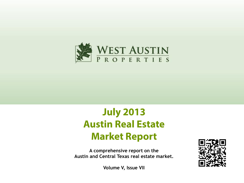

# **July 2013 Austin Real Estate Market Report**

**A comprehensive report on the Austin and Central Texas real estate market.**



**Volume V, Issue VII**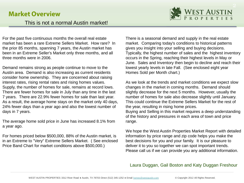#### **Market Overview**



For the past five continuous months the overall real estate market has been a rare Extreme Sellers Market. How rare? In the prior 85 months, spanning 7 years, the Austin market has been in an Extreme Seller's Market only three months, and all three months were in 2006.

Demand remains strong as people continue to move to the Austin area. Demand is also increasing as current residents consider home ownership. They are concerned about raising interest rates, rising rental rates and rising homes values. Supply, the number of homes for sale, remains at record lows. There are fewer homes for sale in July than any time in the last 7 years. There are 22.9% fewer homes for sale than last year. As a result, the average home stays on the market only 40 days, 24% fewer days than a year ago and also the lowest number of days in 7 years.

The average home sold price in June has increased 8.1% from a year ago.

For homes priced below \$500,000, 88% of the Austin market, is in an Extreme to "Very" Extreme Sellers Market. ( See enclosed Price Band Chart for market conditions above \$500,000.)

There is a seasonal demand and supply in the real estate market. Comparing today's conditions to historical patterns gives you insight into your selling and buying decisions. Typically, the highest number of sales and the highest inventory occurs in the Spring, reaching their highest levels in May or June. Sales and Inventory then begin to decline and reach their lowest yearly levels in late Fall. (See enclosed eight year Homes Sold per Month chart.)

As we look at the trends and market conditions we expect slow changes in the market in coming months. Demand should slightly decrease for the next 5 months. However, usually the number of homes for sale also decrease slightly until January. This could continue the Extreme Sellers Market for the rest of the year, resulting in rising home prices.

Buying and Selling in this market requires a deep understanding of the history and pressures in each area of town and price range.

We hope the West Austin Properties Market Report with detailed information by price range and zip code helps you make the best decisions for you and your family. It is our pleasure to deliver it to you so together we can spot important trends. Please call us if we can provide you any additional information.

#### Laura Duggan, Gail Boston and Katy Duggan Freshour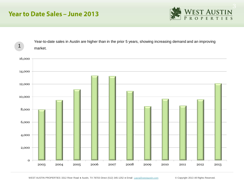### **Year to Date Sales - June 2013**



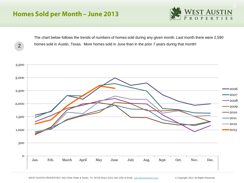# **Homes Sold per Month - June 2013**



The chart below follows the trends of numbers of homes sold during any given month. Last month there were 2,590 homes sold in Austin, Texas. More homes sold in June than in the prior 7 years during that month! 2

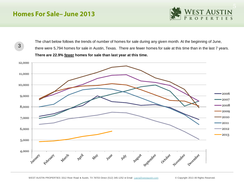### **Homes For Sale-June 2013**

3



The chart below follows the trends of number of homes for sale during any given month. At the beginning of June, there were 5,794 homes for sale in Austin, Texas. There are fewer homes for sale at this time than in the last 7 years. **There are 22.9% fewer homes for sale than last year at this time.** 

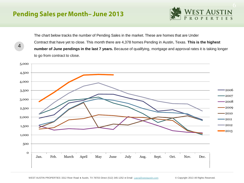# **Pending Sales per Month-June 2013**

4



The chart below tracks the number of Pending Sales in the market. These are homes that are Under Contract that have yet to close. This month there are 4,378 homes Pending in Austin, Texas. **This is the highest number of June pendings in the last 7 years.** Because of qualifying, mortgage and approval rates it is taking longer to go from contract to close.

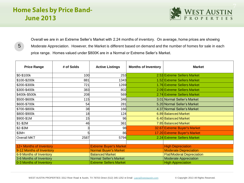# **Home Sales by Price Band-June 2013**

5



Overall we are in an Extreme Seller's Market with 2.24 months of inventory. On average, home prices are showing Moderate Appreciation. However, the Market is different based on demand and the number of homes for sale in each price range. Homes valued under \$800K are in a Normal or Extreme Seller's Market.

| <b>Price Range</b>       | # of Solds | <b>Active Listings</b>        | <b>Months of Inventory</b> | <b>Market</b>                    |  |
|--------------------------|------------|-------------------------------|----------------------------|----------------------------------|--|
| \$0-\$100k               | 100        | 253                           |                            | 2.53 Extreme Sellers Market      |  |
| \$100-\$200k             | 881        | 1343                          |                            | 1.52 Extreme Sellers Market      |  |
| \$200-\$300k             | 721        | 1269                          |                            | 1.76 Extreme Sellers Market      |  |
| \$300-\$400k             | 383        | 802                           |                            | 2.09 Extreme Sellers Market      |  |
| \$400k-\$500k            | 208        | 569                           |                            | 2.74 Extreme Sellers Market      |  |
| \$500-\$600k             | 115        | 346                           |                            | 3.01 Normal Seller's Market      |  |
| \$600-\$700k             | 54         | 281                           |                            | 5.20 Normal Seller's Market      |  |
| \$700-\$800k             | 38         | 166                           |                            | 4.37 Normal Seller's Market      |  |
| \$800-\$900k             | 18         | 124                           |                            | 6.89 Balanced Market             |  |
| \$900-\$1M               | 15         | 96                            |                            | 6.40 Balanced Market             |  |
| $$1-$2M$                 | 46         | 361                           |                            | 7.85 Balanced Market             |  |
| \$2-\$3M                 |            | 98                            |                            | 32.67 Extreme Buyer's Market     |  |
| \$3M<                    |            | 86                            |                            | 17.20 Extreme Buyer's Market     |  |
| <b>Overall MKT</b>       | 2587       | 5794                          |                            | 2.24 Extreme Sellers Market      |  |
|                          |            |                               |                            |                                  |  |
| 12+ Months of Inventory  |            | <b>Extreme Buyer's Market</b> |                            | <b>High Depreciation</b>         |  |
| 9-12 Months of Inventory |            | <b>Normal Buyer's Market</b>  |                            | <b>Moderate Depreciation</b>     |  |
| 6-9 Months of Inventory  |            | <b>Balanced Market</b>        |                            | <b>Flat/Moderat Depreciation</b> |  |
| 3-6 Months of Inventory  |            | <b>Normal Seller's Market</b> |                            | <b>Moderate Appreciation</b>     |  |
| 0-3 Months of Inventory  |            | <b>Extreme Sellers Market</b> |                            | <b>High Appreciation</b>         |  |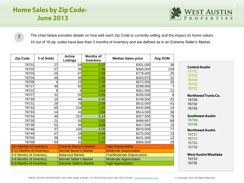# **Home Sales by Zip Code-June 2013**



The chart below provides details on how well each Zip Code is currently selling and the impact on home values. 16 out of 19 zip codes have less than 3 months of inventory and are defined as in an Extreme Seller's Market.

| <b>Zip Code</b>          | # of Solds | <b>Active</b><br><b>Listings</b> | <b>Months of</b><br>Inventory | <b>Median Sales price</b>         | Avg DOM |                             |
|--------------------------|------------|----------------------------------|-------------------------------|-----------------------------------|---------|-----------------------------|
| 78701                    | 27         | 64                               | 2.37                          | \$301,000                         | 36      | <b>Central Austin</b>       |
| 78702                    | 27         | 35                               | 1.30                          | \$340,000                         | 103     | 78701                       |
| 78703                    | 25         | 67                               | 2.68                          | \$779,000                         | 25      | 78703                       |
| 78704                    | 48         | 46                               | 0.96                          | \$420,975                         | 31      | 78704                       |
| 78705                    | 4          | 10                               | 2.50                          | \$572,500                         | 32      | 78705                       |
| 78717                    | 46         | 50                               | 1.09                          | \$298,000                         |         | 78731                       |
| 78722                    | 8          | 5                                | 0.63                          | \$351,500                         | 21      |                             |
| 78727                    | 31         | 20                               | 0.65                          | \$250,000                         | 9       | <b>Northwest Travis Co.</b> |
| 78730                    | 10         | 49                               | 4.90                          | \$748,500                         | 41      | 78730                       |
| 78731                    | 29         | 78                               | 2.69                          | \$515,000                         | 41      | 78732                       |
| 78732                    | 65         | 104                              | 1.60                          | \$442,895                         | 14      | 78734                       |
| 78733                    | 14         | 41                               | 2.93                          | \$514,500                         | 36      |                             |
| 78734                    | 49         | 252                              | 5.14                          | \$327,500                         | 79      | <b>Southwest Austin</b>     |
| 78735                    | 21         | 55                               | 2.62                          | \$499,997                         | 68      | 78739                       |
| 78739                    | 52         | 36                               | 0.69                          | \$417,500                         | 15      | 78749                       |
| 78746                    | 37         | 150                              | 4.05                          | \$970,500                         | 77      | <b>Northwest Austin</b>     |
| 78749                    | 57         | 28                               | 0.49                          | \$275,000                         | 10      | 78717                       |
| 78750                    | 39         | 43                               | 1.10                          | \$431,300                         | 12      | 78727                       |
| 78759                    | 50         | 31                               | 0.62                          | \$366,500                         | 20      | 78750                       |
| 12+ Months of Inventory  |            | <b>Extreme Buyer's Market</b>    |                               | <b>High Depreciation</b>          |         | 78759                       |
| 9-12 Months of Inventory |            | Normal Buyer's Market            |                               | <b>Moderate Depreciation</b>      |         |                             |
| 6-9 Months of Inventory  |            | <b>Balanced Market</b>           |                               | <b>Flat/Moderate Depreciation</b> |         | <b>West Austin/Westlake</b> |
| 3-6 Months of Inventory  |            | <b>Normal Seller's Market</b>    |                               | <b>Moderate Appreciation</b>      |         | 78733                       |
| 0-3 Months of Inventory  |            | <b>Extreme Sellers Market</b>    |                               | <b>High Appreciation</b>          |         | 78735                       |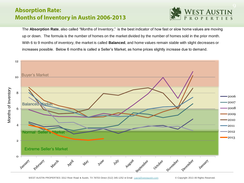### **Absorption Rate: Months of Inventory in Austin 2006-2013**



The **Absorption Rate**, also called "Months of Inventory," is the best indicator of how fast or slow home values are moving up or down. The formula is the number of homes on the market divided by the number of homes sold in the prior month. With 6 to 9 months of inventory, the market is called **Balanced**, and home values remain stable with slight decreases or increases possible. Below 6 months is called a Seller's Market, as home prices slightly increase due to demand.

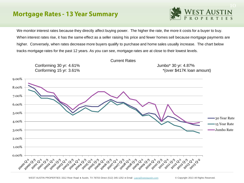### **Mortgage Rates - 13 Year Summary**



We monitor interest rates because they directly affect buying power. The higher the rate, the more it costs for a buyer to buy. When interest rates rise, it has the same effect as a seller raising his price and fewer homes sell because mortgage payments are higher. Conversely, when rates decrease more buyers qualify to purchase and home sales usually increase. The chart below tracks mortgage rates for the past 12 years. As you can see, mortgage rates are at close to their lowest levels.

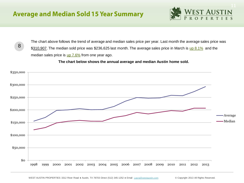8



The chart above follows the trend of average and median sales price per year. Last month the average sales price was \$310,907. The median sold price was \$236,625 last month. The average sales price in March is up 8.1% and the median sales price is  $\frac{\text{up }7.6\%}{\text{from one year ago}}$ .

 **The chart below shows the annual average and median Austin home sold.** 

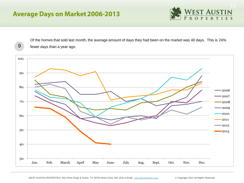# **Average Days on Market 2006-2013**



Of the homes that sold last month, the average amount of days they had been on the market was 40 days. This is 24% 9 fewer days than a year ago.